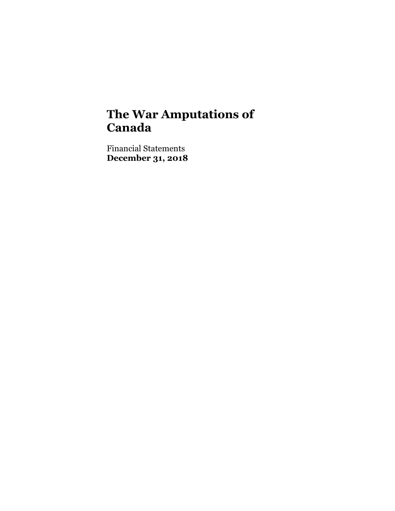Financial Statements **December 31, 2018**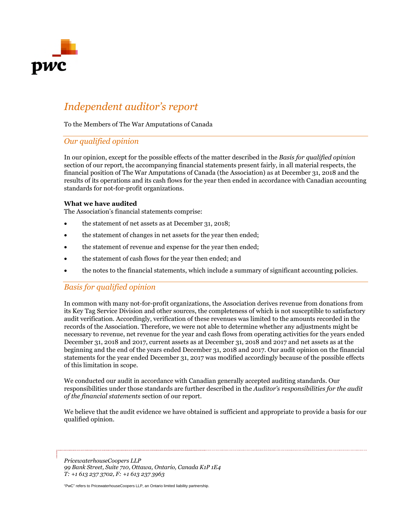

# *Independent auditor's report*

To the Members of The War Amputations of Canada

### *Our qualified opinion*

In our opinion, except for the possible effects of the matter described in the *Basis for qualified opinion* section of our report, the accompanying financial statements present fairly, in all material respects, the financial position of The War Amputations of Canada (the Association) as at December 31, 2018 and the results of its operations and its cash flows for the year then ended in accordance with Canadian accounting standards for not-for-profit organizations.

#### **What we have audited**

The Association's financial statements comprise:

- the statement of net assets as at December 31, 2018;
- the statement of changes in net assets for the year then ended;
- the statement of revenue and expense for the year then ended;
- the statement of cash flows for the year then ended; and
- the notes to the financial statements, which include a summary of significant accounting policies.

## *Basis for qualified opinion*

In common with many not-for-profit organizations, the Association derives revenue from donations from its Key Tag Service Division and other sources, the completeness of which is not susceptible to satisfactory audit verification. Accordingly, verification of these revenues was limited to the amounts recorded in the records of the Association. Therefore, we were not able to determine whether any adjustments might be necessary to revenue, net revenue for the year and cash flows from operating activities for the years ended December 31, 2018 and 2017, current assets as at December 31, 2018 and 2017 and net assets as at the beginning and the end of the years ended December 31, 2018 and 2017. Our audit opinion on the financial statements for the year ended December 31, 2017 was modified accordingly because of the possible effects of this limitation in scope.

We conducted our audit in accordance with Canadian generally accepted auditing standards. Our responsibilities under those standards are further described in the *Auditor's responsibilities for the audit of the financial statements* section of our report.

We believe that the audit evidence we have obtained is sufficient and appropriate to provide a basis for our qualified opinion.

*PricewaterhouseCoopers LLP 99 Bank Street, Suite 710, Ottawa, Ontario, Canada K1P 1E4 T: +1 613 237 3702, F: +1 613 237 3963*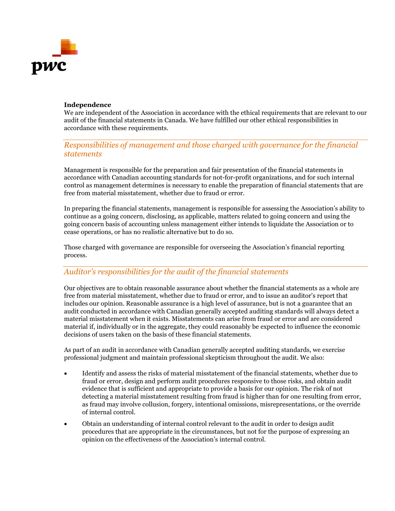

#### **Independence**

We are independent of the Association in accordance with the ethical requirements that are relevant to our audit of the financial statements in Canada. We have fulfilled our other ethical responsibilities in accordance with these requirements.

### *Responsibilities of management and those charged with governance for the financial statements*

Management is responsible for the preparation and fair presentation of the financial statements in accordance with Canadian accounting standards for not-for-profit organizations, and for such internal control as management determines is necessary to enable the preparation of financial statements that are free from material misstatement, whether due to fraud or error.

In preparing the financial statements, management is responsible for assessing the Association's ability to continue as a going concern, disclosing, as applicable, matters related to going concern and using the going concern basis of accounting unless management either intends to liquidate the Association or to cease operations, or has no realistic alternative but to do so.

Those charged with governance are responsible for overseeing the Association's financial reporting process.

### *Auditor's responsibilities for the audit of the financial statements*

Our objectives are to obtain reasonable assurance about whether the financial statements as a whole are free from material misstatement, whether due to fraud or error, and to issue an auditor's report that includes our opinion. Reasonable assurance is a high level of assurance, but is not a guarantee that an audit conducted in accordance with Canadian generally accepted auditing standards will always detect a material misstatement when it exists. Misstatements can arise from fraud or error and are considered material if, individually or in the aggregate, they could reasonably be expected to influence the economic decisions of users taken on the basis of these financial statements.

As part of an audit in accordance with Canadian generally accepted auditing standards, we exercise professional judgment and maintain professional skepticism throughout the audit. We also:

- Identify and assess the risks of material misstatement of the financial statements, whether due to fraud or error, design and perform audit procedures responsive to those risks, and obtain audit evidence that is sufficient and appropriate to provide a basis for our opinion. The risk of not detecting a material misstatement resulting from fraud is higher than for one resulting from error, as fraud may involve collusion, forgery, intentional omissions, misrepresentations, or the override of internal control.
- Obtain an understanding of internal control relevant to the audit in order to design audit procedures that are appropriate in the circumstances, but not for the purpose of expressing an opinion on the effectiveness of the Association's internal control.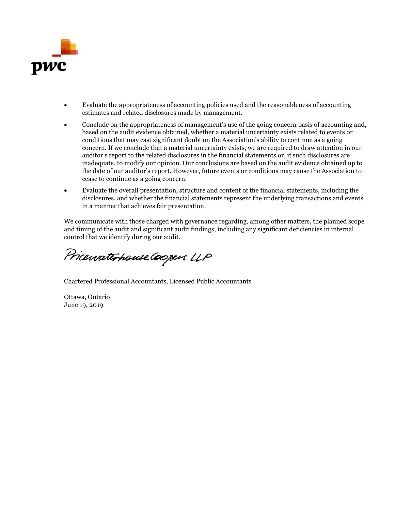

- Evaluate the appropriateness of accounting policies used and the reasonableness of accounting estimates and related disclosures made by management.
- Conclude on the appropriateness of management's use of the going concern basis of accounting and, based on the audit evidence obtained, whether a material uncertainty exists related to events or conditions that may cast significant doubt on the Association's ability to continue as a going concern. If we conclude that a material uncertainty exists, we are required to draw attention in our auditor's report to the related disclosures in the financial statements or, if such disclosures are inadequate, to modify our opinion. Our conclusions are based on the audit evidence obtained up to the date of our auditor's report. However, future events or conditions may cause the Association to cease to continue as a going concern.
- Evaluate the overall presentation, structure and content of the financial statements, including the disclosures, and whether the financial statements represent the underlying transactions and events in a manner that achieves fair presentation.

We communicate with those charged with governance regarding, among other matters, the planned scope and timing of the audit and significant audit findings, including any significant deficiencies in internal control that we identify during our audit.

Pricewaterhouse Coopers LLP

Chartered Professional Accountants, Licensed Public Accountants

Ottawa, Ontario June 19, 2019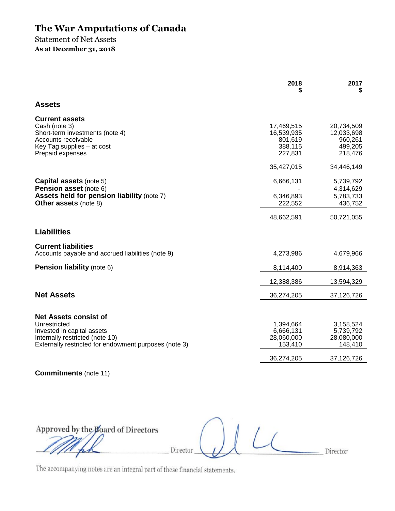Statement of Net Assets **As at December 31, 2018** 

|                                                                                                                                                    | 2018                                                      | 2017                                                      |
|----------------------------------------------------------------------------------------------------------------------------------------------------|-----------------------------------------------------------|-----------------------------------------------------------|
| <b>Assets</b>                                                                                                                                      |                                                           |                                                           |
| <b>Current assets</b><br>Cash (note 3)<br>Short-term investments (note 4)<br>Accounts receivable<br>Key Tag supplies - at cost<br>Prepaid expenses | 17,469,515<br>16,539,935<br>801,619<br>388,115<br>227,831 | 20,734,509<br>12,033,698<br>960,261<br>499,205<br>218,476 |
|                                                                                                                                                    | 35,427,015                                                | 34,446,149                                                |
| Capital assets (note 5)<br><b>Pension asset</b> (note 6)<br><b>Assets held for pension liability (note 7)</b><br><b>Other assets (note 8)</b>      | 6,666,131<br>6,346,893<br>222,552                         | 5,739,792<br>4,314,629<br>5,783,733<br>436,752            |
|                                                                                                                                                    | 48,662,591                                                | 50,721,055                                                |
| <b>Liabilities</b>                                                                                                                                 |                                                           |                                                           |
| <b>Current liabilities</b><br>Accounts payable and accrued liabilities (note 9)                                                                    | 4,273,986                                                 | 4,679,966                                                 |
| <b>Pension liability (note 6)</b>                                                                                                                  | 8,114,400                                                 | 8,914,363                                                 |
|                                                                                                                                                    | 12,388,386                                                | 13,594,329                                                |
| <b>Net Assets</b>                                                                                                                                  | 36,274,205                                                | 37,126,726                                                |
| <b>Net Assets consist of</b>                                                                                                                       |                                                           |                                                           |
| Unrestricted<br>Invested in capital assets<br>Internally restricted (note 10)<br>Externally restricted for endowment purposes (note 3)             | 1,394,664<br>6,666,131<br>28,060,000<br>153,410           | 3,158,524<br>5,739,792<br>28,080,000<br>148,410           |
|                                                                                                                                                    | 36,274,205                                                | 37,126,726                                                |
| <b>Commitments</b> (note 11)                                                                                                                       |                                                           |                                                           |

Approved by the Board of Directors Director Director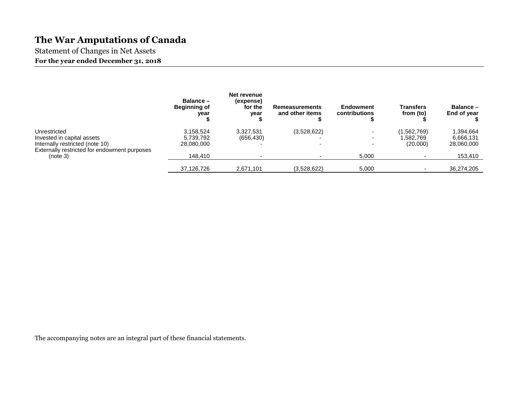Statement of Changes in Net Assets **For the year ended December 31, 2018** 

|                                                                                 | Balance -<br><b>Beginning of</b><br>year | Net revenue<br>(expense)<br>for the<br>year | <b>Remeasurements</b><br>and other items | <b>Endowment</b><br>contributions | <b>Transfers</b><br>from (to) | Balance-<br>End of year |
|---------------------------------------------------------------------------------|------------------------------------------|---------------------------------------------|------------------------------------------|-----------------------------------|-------------------------------|-------------------------|
| Unrestricted                                                                    | 3,158,524                                | 3.327.531                                   | (3,528,622)                              | ۰.                                | (1,562,769)                   | 1,394,664               |
| Invested in capital assets                                                      | 5,739,792                                | (656, 430)                                  |                                          | $\overline{\phantom{0}}$          | 1,582.769                     | 6,666,131               |
| Internally restricted (note 10)<br>Externally restricted for endowment purposes | 28.080.000                               |                                             |                                          | -                                 | (20,000)                      | 28,060,000              |
| (note 3)                                                                        | 148,410                                  |                                             |                                          | 5.000                             |                               | 153,410                 |
|                                                                                 | 37,126,726                               | 2,671,101                                   | (3.528.622)                              | 5,000                             |                               | 36,274,205              |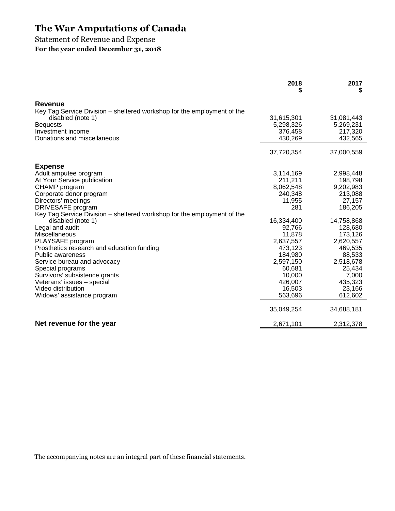## Statement of Revenue and Expense

**For the year ended December 31, 2018** 

|                                                                         | 2018<br>\$          | 2017<br>S           |
|-------------------------------------------------------------------------|---------------------|---------------------|
| <b>Revenue</b>                                                          |                     |                     |
| Key Tag Service Division – sheltered workshop for the employment of the |                     |                     |
| disabled (note 1)                                                       | 31,615,301          | 31,081,443          |
| <b>Bequests</b>                                                         | 5,298,326           | 5,269,231           |
| Investment income                                                       | 376,458             | 217,320             |
| Donations and miscellaneous                                             | 430,269             | 432,565             |
|                                                                         | 37,720,354          | 37,000,559          |
| <b>Expense</b>                                                          |                     |                     |
| Adult amputee program                                                   | 3,114,169           | 2,998,448           |
| At Your Service publication                                             | 211,211             | 198,798             |
| CHAMP program                                                           | 8,062,548           | 9,202,983           |
| Corporate donor program                                                 | 240,348             | 213,088             |
| Directors' meetings                                                     | 11,955              | 27,157              |
| DRIVESAFE program                                                       | 281                 | 186,205             |
| Key Tag Service Division – sheltered workshop for the employment of the |                     |                     |
| disabled (note 1)                                                       | 16,334,400          | 14,758,868          |
| Legal and audit                                                         | 92,766              | 128,680             |
| Miscellaneous                                                           | 11,878              | 173,126             |
| PLAYSAFE program                                                        | 2,637,557           | 2,620,557           |
| Prosthetics research and education funding                              | 473,123             | 469,535             |
| <b>Public awareness</b>                                                 | 184,980             | 88,533              |
| Service bureau and advocacy                                             | 2,597,150<br>60,681 | 2,518,678<br>25,434 |
| Special programs<br>Survivors' subsistence grants                       | 10,000              | 7,000               |
| Veterans' issues - special                                              | 426,007             | 435,323             |
| Video distribution                                                      | 16,503              | 23,166              |
| Widows' assistance program                                              | 563,696             | 612,602             |
|                                                                         | 35,049,254          | 34,688,181          |
|                                                                         |                     |                     |
| Net revenue for the year                                                | 2,671,101           | 2,312,378           |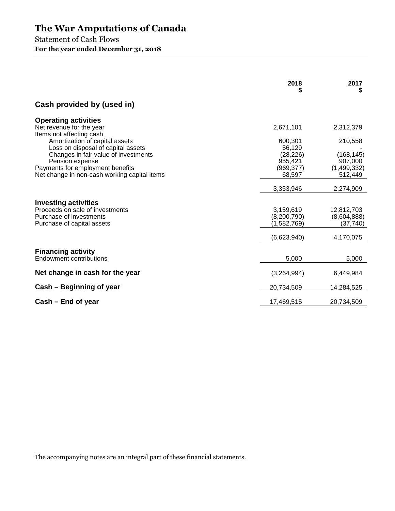Statement of Cash Flows **For the year ended December 31, 2018** 

|                                                                                                                                                                                                     | 2018<br>5                                              | 2017<br>S                                           |
|-----------------------------------------------------------------------------------------------------------------------------------------------------------------------------------------------------|--------------------------------------------------------|-----------------------------------------------------|
| Cash provided by (used in)                                                                                                                                                                          |                                                        |                                                     |
| <b>Operating activities</b><br>Net revenue for the year<br>Items not affecting cash<br>Amortization of capital assets<br>Loss on disposal of capital assets<br>Changes in fair value of investments | 2,671,101<br>600,301<br>56,129<br>(28, 226)            | 2,312,379<br>210,558<br>(168, 145)                  |
| Pension expense<br>Payments for employment benefits<br>Net change in non-cash working capital items                                                                                                 | 955,421<br>(969, 377)<br>68,597                        | 907,000<br>(1,499,332)<br>512,449                   |
|                                                                                                                                                                                                     | 3,353,946                                              | 2,274,909                                           |
| <b>Investing activities</b><br>Proceeds on sale of investments<br>Purchase of investments<br>Purchase of capital assets                                                                             | 3,159,619<br>(8,200,790)<br>(1,582,769)<br>(6,623,940) | 12,812,703<br>(8,604,888)<br>(37, 740)<br>4,170,075 |
| <b>Financing activity</b><br><b>Endowment contributions</b>                                                                                                                                         | 5,000                                                  | 5,000                                               |
| Net change in cash for the year                                                                                                                                                                     | (3,264,994)                                            | 6,449,984                                           |
| Cash – Beginning of year                                                                                                                                                                            | 20,734,509                                             | 14,284,525                                          |
| Cash – End of year                                                                                                                                                                                  | 17,469,515                                             | 20,734,509                                          |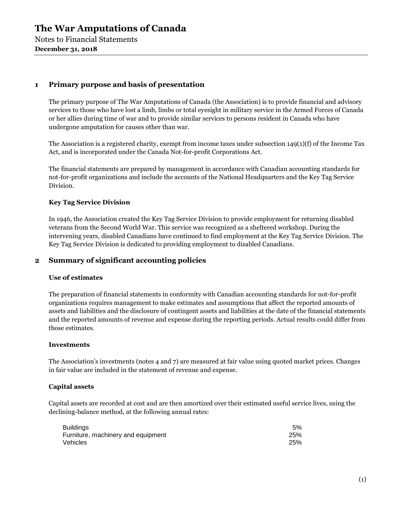#### **1 Primary purpose and basis of presentation**

The primary purpose of The War Amputations of Canada (the Association) is to provide financial and advisory services to those who have lost a limb, limbs or total eyesight in military service in the Armed Forces of Canada or her allies during time of war and to provide similar services to persons resident in Canada who have undergone amputation for causes other than war.

The Association is a registered charity, exempt from income taxes under subsection  $149(1)(f)$  of the Income Tax Act, and is incorporated under the Canada Not-for-profit Corporations Act.

The financial statements are prepared by management in accordance with Canadian accounting standards for not-for-profit organizations and include the accounts of the National Headquarters and the Key Tag Service Division.

#### **Key Tag Service Division**

In 1946, the Association created the Key Tag Service Division to provide employment for returning disabled veterans from the Second World War. This service was recognized as a sheltered workshop. During the intervening years, disabled Canadians have continued to find employment at the Key Tag Service Division. The Key Tag Service Division is dedicated to providing employment to disabled Canadians.

#### **2 Summary of significant accounting policies**

#### **Use of estimates**

The preparation of financial statements in conformity with Canadian accounting standards for not-for-profit organizations requires management to make estimates and assumptions that affect the reported amounts of assets and liabilities and the disclosure of contingent assets and liabilities at the date of the financial statements and the reported amounts of revenue and expense during the reporting periods. Actual results could differ from those estimates.

#### **Investments**

The Association's investments (notes 4 and 7) are measured at fair value using quoted market prices. Changes in fair value are included in the statement of revenue and expense.

#### **Capital assets**

Capital assets are recorded at cost and are then amortized over their estimated useful service lives, using the declining-balance method, at the following annual rates:

| <b>Buildings</b>                   | 5%  |
|------------------------------------|-----|
| Furniture, machinery and equipment | 25% |
| Vehicles                           | 25% |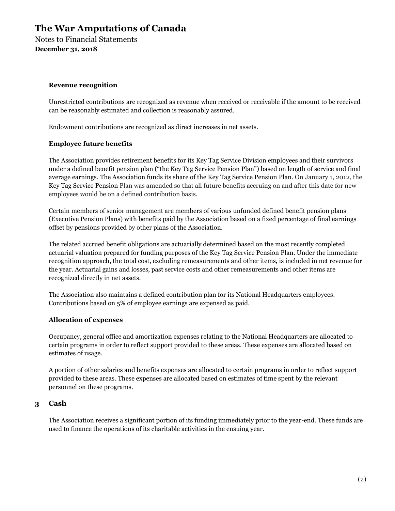Notes to Financial Statements **December 31, 2018** 

#### **Revenue recognition**

Unrestricted contributions are recognized as revenue when received or receivable if the amount to be received can be reasonably estimated and collection is reasonably assured.

Endowment contributions are recognized as direct increases in net assets.

#### **Employee future benefits**

The Association provides retirement benefits for its Key Tag Service Division employees and their survivors under a defined benefit pension plan ("the Key Tag Service Pension Plan") based on length of service and final average earnings. The Association funds its share of the Key Tag Service Pension Plan. On January 1, 2012, the Key Tag Service Pension Plan was amended so that all future benefits accruing on and after this date for new employees would be on a defined contribution basis.

Certain members of senior management are members of various unfunded defined benefit pension plans (Executive Pension Plans) with benefits paid by the Association based on a fixed percentage of final earnings offset by pensions provided by other plans of the Association.

The related accrued benefit obligations are actuarially determined based on the most recently completed actuarial valuation prepared for funding purposes of the Key Tag Service Pension Plan. Under the immediate recognition approach, the total cost, excluding remeasurements and other items, is included in net revenue for the year. Actuarial gains and losses, past service costs and other remeasurements and other items are recognized directly in net assets.

The Association also maintains a defined contribution plan for its National Headquarters employees. Contributions based on 5% of employee earnings are expensed as paid.

#### **Allocation of expenses**

Occupancy, general office and amortization expenses relating to the National Headquarters are allocated to certain programs in order to reflect support provided to these areas. These expenses are allocated based on estimates of usage.

A portion of other salaries and benefits expenses are allocated to certain programs in order to reflect support provided to these areas. These expenses are allocated based on estimates of time spent by the relevant personnel on these programs.

#### **3 Cash**

The Association receives a significant portion of its funding immediately prior to the year-end. These funds are used to finance the operations of its charitable activities in the ensuing year.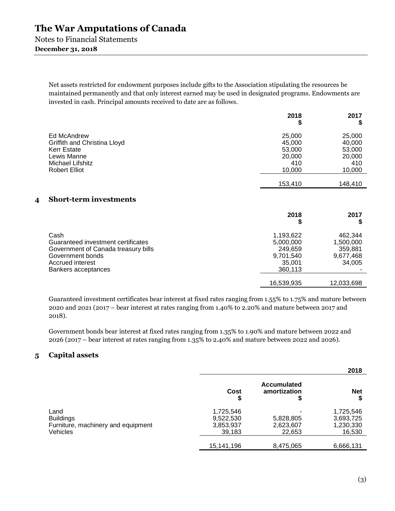Notes to Financial Statements

### **December 31, 2018**

Net assets restricted for endowment purposes include gifts to the Association stipulating the resources be maintained permanently and that only interest earned may be used in designated programs. Endowments are invested in cash. Principal amounts received to date are as follows.

|                                                                                                                              | 2018<br>₽                                             | 2017                                                  |
|------------------------------------------------------------------------------------------------------------------------------|-------------------------------------------------------|-------------------------------------------------------|
| Ed McAndrew<br>Griffith and Christina Lloyd<br><b>Kerr Estate</b><br>Lewis Manne<br>Michael Lifshitz<br><b>Robert Elliot</b> | 25,000<br>45,000<br>53,000<br>20,000<br>410<br>10,000 | 25,000<br>40,000<br>53,000<br>20,000<br>410<br>10,000 |
|                                                                                                                              | 153,410                                               | 148,410                                               |

### **4 Short-term investments**

|                                                                                                                           | 2018                                                     | 2017                                                   |
|---------------------------------------------------------------------------------------------------------------------------|----------------------------------------------------------|--------------------------------------------------------|
| Cash<br>Guaranteed investment certificates<br>Government of Canada treasury bills<br>Government bonds<br>Accrued interest | 1,193,622<br>5,000,000<br>249.659<br>9,701,540<br>35.001 | 462,344<br>1,500,000<br>359,881<br>9,677,468<br>34,005 |
| Bankers acceptances                                                                                                       | 360,113<br>16,539,935                                    | 12,033,698                                             |

Guaranteed investment certificates bear interest at fixed rates ranging from 1.55% to 1.75% and mature between 2020 and 2021 (2017 – bear interest at rates ranging from 1.40% to 2.20% and mature between 2017 and 2018).

Government bonds bear interest at fixed rates ranging from 1.35% to 1.90% and mature between 2022 and 2026 (2017 – bear interest at rates ranging from 1.35% to 2.40% and mature between 2022 and 2026).

### **5 Capital assets**

|                                                                            |                                               |                                    | 2018                                          |
|----------------------------------------------------------------------------|-----------------------------------------------|------------------------------------|-----------------------------------------------|
|                                                                            | Cost                                          | <b>Accumulated</b><br>amortization | <b>Net</b>                                    |
| Land<br><b>Buildings</b><br>Furniture, machinery and equipment<br>Vehicles | 1,725,546<br>9,522,530<br>3,853,937<br>39,183 | 5,828,805<br>2,623,607<br>22,653   | 1,725,546<br>3,693,725<br>1,230,330<br>16,530 |
|                                                                            | 15,141,196                                    | 8,475,065                          | 6,666,131                                     |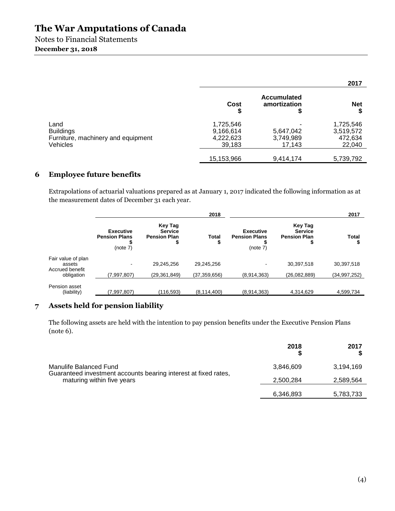Notes to Financial Statements **December 31, 2018** 

|                                                                            |                                               |                                    | 2017                                        |
|----------------------------------------------------------------------------|-----------------------------------------------|------------------------------------|---------------------------------------------|
|                                                                            | Cost<br>\$                                    | <b>Accumulated</b><br>amortization | <b>Net</b><br>S                             |
| Land<br><b>Buildings</b><br>Furniture, machinery and equipment<br>Vehicles | 1,725,546<br>9,166,614<br>4,222,623<br>39,183 | 5,647,042<br>3,749,989<br>17,143   | 1,725,546<br>3,519,572<br>472,634<br>22,040 |
|                                                                            | 15,153,966                                    | 9,414,174                          | 5,739,792                                   |

## **6 Employee future benefits**

Extrapolations of actuarial valuations prepared as at January 1, 2017 indicated the following information as at the measurement dates of December 31 each year.

|                                                      |                                                               | 2018              |                                                      |                                                        | 2017         |
|------------------------------------------------------|---------------------------------------------------------------|-------------------|------------------------------------------------------|--------------------------------------------------------|--------------|
| <b>Executive</b><br><b>Pension Plans</b><br>(note 7) | <b>Key Tag</b><br><b>Service</b><br><b>Pension Plan</b><br>\$ | <b>Total</b><br>ъ | <b>Executive</b><br><b>Pension Plans</b><br>(note 7) | Key Tag<br><b>Service</b><br><b>Pension Plan</b><br>\$ | Total        |
|                                                      |                                                               |                   |                                                      |                                                        |              |
|                                                      | 29,245,256                                                    | 29.245.256        | ۰                                                    | 30,397,518                                             | 30.397.518   |
| (7,997,807)                                          | (29,361,849)                                                  | (37, 359, 656)    | (8,914,363)                                          | (26,082,889)                                           | (34,997,252) |
|                                                      |                                                               |                   |                                                      |                                                        | 4,599,734    |
|                                                      | (7,997,807)                                                   | (116, 593)        | (8, 114, 400)                                        | (8,914,363)                                            | 4,314,629    |

## **7 Assets held for pension liability**

The following assets are held with the intention to pay pension benefits under the Executive Pension Plans (note 6).

|                                                                                           | 2018      | 2017      |
|-------------------------------------------------------------------------------------------|-----------|-----------|
| Manulife Balanced Fund<br>Guaranteed investment accounts bearing interest at fixed rates, | 3,846,609 | 3,194,169 |
| maturing within five years                                                                | 2,500,284 | 2,589,564 |
|                                                                                           | 6,346,893 | 5,783,733 |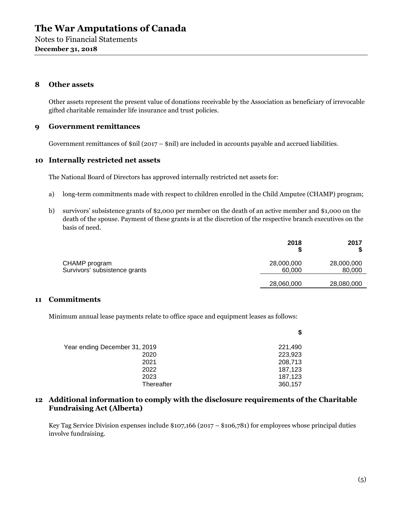Notes to Financial Statements **December 31, 2018** 

#### **8 Other assets**

Other assets represent the present value of donations receivable by the Association as beneficiary of irrevocable gifted charitable remainder life insurance and trust policies.

#### **9 Government remittances**

Government remittances of  $\sin(2017 - \sin1)$  are included in accounts payable and accrued liabilities.

#### **10 Internally restricted net assets**

The National Board of Directors has approved internally restricted net assets for:

- a) long-term commitments made with respect to children enrolled in the Child Amputee (CHAMP) program;
- b) survivors' subsistence grants of \$2,000 per member on the death of an active member and \$1,000 on the death of the spouse. Payment of these grants is at the discretion of the respective branch executives on the basis of need.

| 2018                 | 2017                 |
|----------------------|----------------------|
| 28,000,000<br>60,000 | 28,000,000<br>80,000 |
| 28,060,000           | 28,080,000           |
|                      |                      |

#### **11 Commitments**

Minimum annual lease payments relate to office space and equipment leases as follows:

|                               | \$      |
|-------------------------------|---------|
| Year ending December 31, 2019 | 221,490 |
| 2020                          | 223,923 |
| 2021                          | 208,713 |
| 2022                          | 187,123 |
| 2023                          | 187,123 |
| Thereafter                    | 360,157 |

### **12 Additional information to comply with the disclosure requirements of the Charitable Fundraising Act (Alberta)**

Key Tag Service Division expenses include \$107,166 (2017 – \$106,781) for employees whose principal duties involve fundraising.